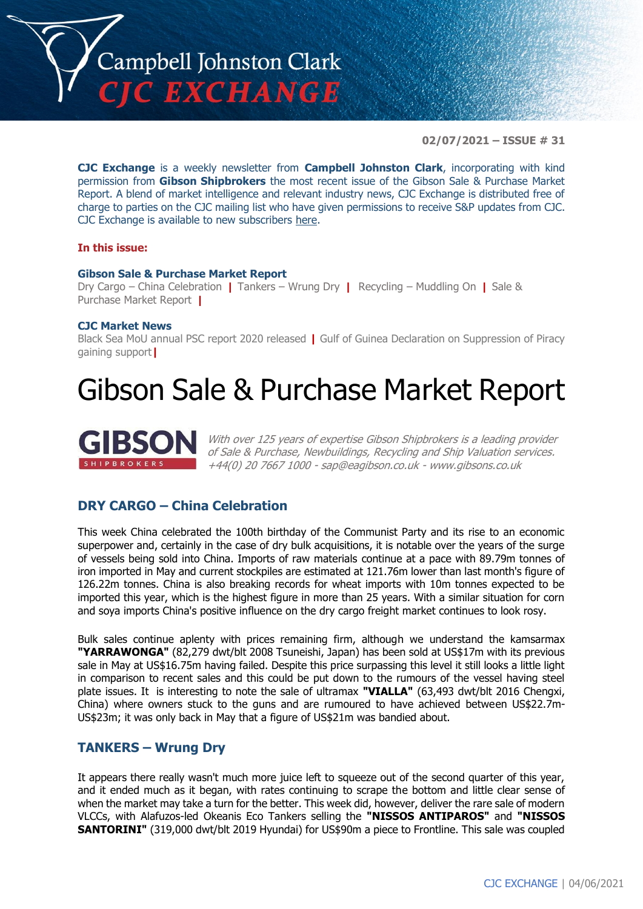

**02/07/2021 – ISSUE # 31**

**CJC Exchange** is a weekly newsletter from **Campbell Johnston Clark**, incorporating with kind permission from **Gibson Shipbrokers** the most recent issue of the Gibson Sale & Purchase Market Report. A blend of market intelligence and relevant industry news, CJC Exchange is distributed free of charge to parties on the CJC mailing list who have given permissions to receive S&P updates from CJC. CJC Exchange is available to new subscribers [here.](mailto:jamesc@cjclaw.com?subject=CJC%20Exchange%20sign-up)

#### **In this issue:**

#### **Gibson Sale & Purchase Market Report**

Dry Cargo – China Celebration **|** Tankers – Wrung Dry **|** Recycling – Muddling On **|** Sale & Purchase Market Report **|**

#### **CJC Market News**

Black Sea MoU annual PSC report 2020 released **|** Gulf of Guinea Declaration on Suppression of Piracy gaining support**|**

## Gibson Sale & Purchase Market Report



With over 125 years of expertise Gibson Shipbrokers is a leading provider of Sale & Purchase, Newbuildings, Recycling and Ship Valuation services. +44(0) 20 7667 1000 - [sap@eagibson.co.uk](mailto:sap@eagibson.co.uk) - [www.gibsons.co.uk](https://protect-eu.mimecast.com/s/VO6nCGZzRS60KqcK1jQh/)

#### **DRY CARGO – China Celebration**

This week China celebrated the 100th birthday of the Communist Party and its rise to an economic superpower and, certainly in the case of dry bulk acquisitions, it is notable over the years of the surge of vessels being sold into China. Imports of raw materials continue at a pace with 89.79m tonnes of iron imported in May and current stockpiles are estimated at 121.76m lower than last month's figure of 126.22m tonnes. China is also breaking records for wheat imports with 10m tonnes expected to be imported this year, which is the highest figure in more than 25 years. With a similar situation for corn and soya imports China's positive influence on the dry cargo freight market continues to look rosy.

Bulk sales continue aplenty with prices remaining firm, although we understand the kamsarmax **"YARRAWONGA"** (82,279 dwt/blt 2008 Tsuneishi, Japan) has been sold at US\$17m with its previous sale in May at US\$16.75m having failed. Despite this price surpassing this level it still looks a little light in comparison to recent sales and this could be put down to the rumours of the vessel having steel plate issues. It is interesting to note the sale of ultramax **"VIALLA"** (63,493 dwt/blt 2016 Chengxi, China) where owners stuck to the guns and are rumoured to have achieved between US\$22.7m-US\$23m; it was only back in May that a figure of US\$21m was bandied about.

#### **TANKERS – Wrung Dry**

It appears there really wasn't much more juice left to squeeze out of the second quarter of this year, and it ended much as it began, with rates continuing to scrape the bottom and little clear sense of when the market may take a turn for the better. This week did, however, deliver the rare sale of modern VLCCs, with Alafuzos-led Okeanis Eco Tankers selling the **"NISSOS ANTIPAROS"** and **"NISSOS SANTORINI"** (319,000 dwt/blt 2019 Hyundai) for US\$90m a piece to Frontline. This sale was coupled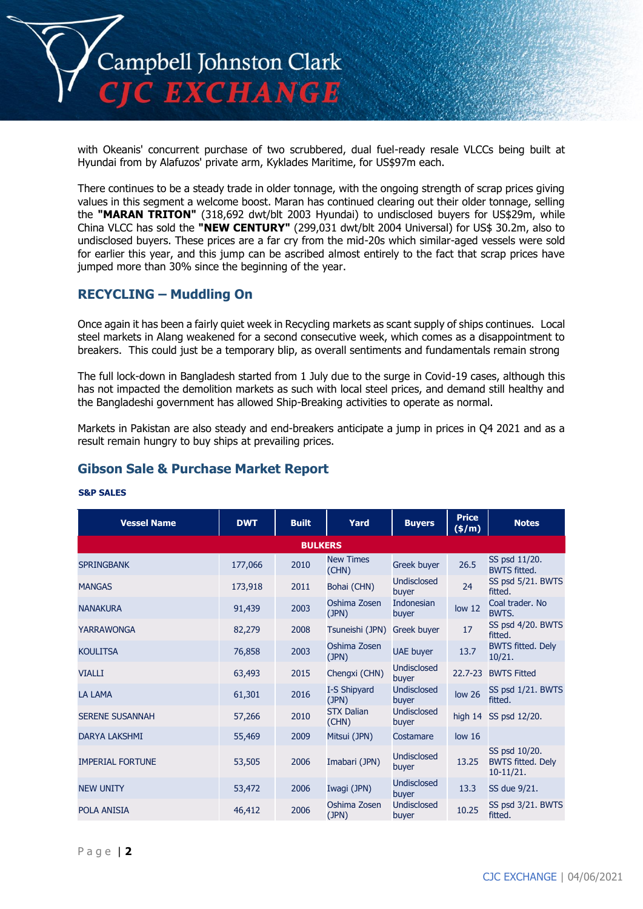

with Okeanis' concurrent purchase of two scrubbered, dual fuel-ready resale VLCCs being built at Hyundai from by Alafuzos' private arm, Kyklades Maritime, for US\$97m each.

There continues to be a steady trade in older tonnage, with the ongoing strength of scrap prices giving values in this segment a welcome boost. Maran has continued clearing out their older tonnage, selling the **"MARAN TRITON"** (318,692 dwt/blt 2003 Hyundai) to undisclosed buyers for US\$29m, while China VLCC has sold the **"NEW CENTURY"** (299,031 dwt/blt 2004 Universal) for US\$ 30.2m, also to undisclosed buyers. These prices are a far cry from the mid-20s which similar-aged vessels were sold for earlier this year, and this jump can be ascribed almost entirely to the fact that scrap prices have jumped more than 30% since the beginning of the year.

#### **RECYCLING – Muddling On**

Once again it has been a fairly quiet week in Recycling markets as scant supply of ships continues. Local steel markets in Alang weakened for a second consecutive week, which comes as a disappointment to breakers. This could just be a temporary blip, as overall sentiments and fundamentals remain strong

The full lock-down in Bangladesh started from 1 July due to the surge in Covid-19 cases, although this has not impacted the demolition markets as such with local steel prices, and demand still healthy and the Bangladeshi government has allowed Ship-Breaking activities to operate as normal.

Markets in Pakistan are also steady and end-breakers anticipate a jump in prices in Q4 2021 and as a result remain hungry to buy ships at prevailing prices.

#### **Gibson Sale & Purchase Market Report**

| <b>Vessel Name</b>      | <b>DWT</b> | <b>Built</b> | Yard                       | <b>Buyers</b>               | <b>Price</b><br>(\$/m) | <b>Notes</b>                                             |  |
|-------------------------|------------|--------------|----------------------------|-----------------------------|------------------------|----------------------------------------------------------|--|
| <b>BULKERS</b>          |            |              |                            |                             |                        |                                                          |  |
| <b>SPRINGBANK</b>       | 177,066    | 2010         | <b>New Times</b><br>(CHN)  | Greek buyer                 | 26.5                   | SS psd 11/20.<br><b>BWTS fitted.</b>                     |  |
| <b>MANGAS</b>           | 173,918    | 2011         | Bohai (CHN)                | <b>Undisclosed</b><br>buyer | 24                     | SS psd 5/21. BWTS<br>fitted.                             |  |
| <b>NANAKURA</b>         | 91,439     | 2003         | Oshima Zosen<br>(JPN)      | <b>Indonesian</b><br>buyer  | low <sub>12</sub>      | Coal trader, No<br>BWTS.                                 |  |
| <b>YARRAWONGA</b>       | 82,279     | 2008         | Tsuneishi (JPN)            | Greek buyer                 | 17                     | SS psd 4/20. BWTS<br>fitted.                             |  |
| <b>KOULITSA</b>         | 76,858     | 2003         | Oshima Zosen<br>(JPN)      | <b>UAE</b> buyer            | 13.7                   | <b>BWTS fitted. Dely</b><br>10/21.                       |  |
| <b>VIALLI</b>           | 63,493     | 2015         | Chengxi (CHN)              | <b>Undisclosed</b><br>buyer | $22.7 - 23$            | <b>BWTS Fitted</b>                                       |  |
| <b>LA LAMA</b>          | 61,301     | 2016         | I-S Shipyard<br>(JPN)      | <b>Undisclosed</b><br>buyer | low <sub>26</sub>      | SS psd 1/21. BWTS<br>fitted.                             |  |
| <b>SERENE SUSANNAH</b>  | 57,266     | 2010         | <b>STX Dalian</b><br>(CHN) | <b>Undisclosed</b><br>buyer | high 14                | SS psd 12/20.                                            |  |
| <b>DARYA LAKSHMI</b>    | 55,469     | 2009         | Mitsui (JPN)               | Costamare                   | low <sub>16</sub>      |                                                          |  |
| <b>IMPERIAL FORTUNE</b> | 53,505     | 2006         | Imabari (JPN)              | <b>Undisclosed</b><br>buyer | 13.25                  | SS psd 10/20.<br><b>BWTS fitted. Dely</b><br>$10-11/21.$ |  |
| <b>NEW UNITY</b>        | 53,472     | 2006         | Iwagi (JPN)                | <b>Undisclosed</b><br>buyer | 13.3                   | SS due 9/21.                                             |  |
| <b>POLA ANISIA</b>      | 46,412     | 2006         | Oshima Zosen<br>(JPN)      | <b>Undisclosed</b><br>buyer | 10.25                  | SS psd 3/21. BWTS<br>fitted.                             |  |

#### **S&P SALES**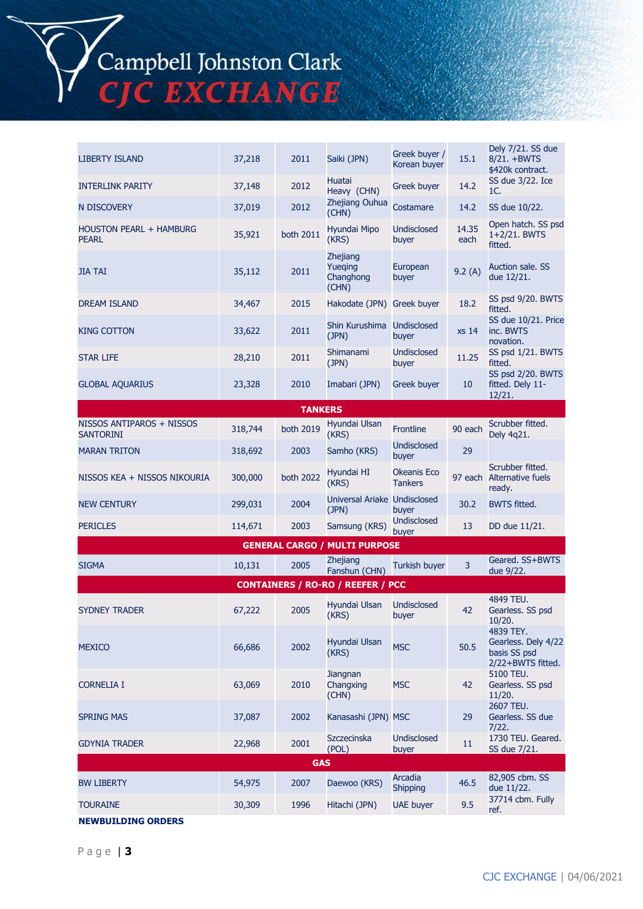# Campbell Johnston Clark<br>CJC EXCHANGE

| <b>LIBERTY ISLAND</b>                          | 37,218  | 2011           | Saiki (JPN)                               | Greek buyer /<br>Korean buyer | 15.1          | Dely 7/21. SS due<br>8/21. +BWTS<br>\$420k contract.                  |  |
|------------------------------------------------|---------|----------------|-------------------------------------------|-------------------------------|---------------|-----------------------------------------------------------------------|--|
| <b>INTERLINK PARITY</b>                        | 37,148  | 2012           | Huatai<br>Heavy (CHN)                     | Greek buyer                   | 14.2          | SS due 3/22. Ice<br>1C.                                               |  |
| N DISCOVERY                                    | 37,019  | 2012           | Zhejiang Ouhua<br>(CHN)                   | Costamare                     | 14.2          | SS due 10/22.                                                         |  |
| <b>HOUSTON PEARL + HAMBURG</b><br><b>PEARL</b> | 35,921  | both 2011      | Hyundai Mipo<br>(KRS)                     | <b>Undisclosed</b><br>buyer   | 14.35<br>each | Open hatch. SS psd<br>1+2/21. BWTS<br>fitted.                         |  |
| <b>JIA TAI</b>                                 | 35,112  | 2011           | Zhejiang<br>Yueqing<br>Changhong<br>(CHN) | European<br>buyer             | 9.2(A)        | Auction sale. SS<br>due 12/21.                                        |  |
| <b>DREAM ISLAND</b>                            | 34,467  | 2015           | Hakodate (JPN) Greek buyer                |                               | 18.2          | SS psd 9/20. BWTS<br>fitted.                                          |  |
| <b>KING COTTON</b>                             | 33,622  | 2011           | Shin Kurushima Undisclosed<br>(JPN)       | buyer                         | xs 14         | SS due 10/21. Price<br>inc. BWTS<br>novation.                         |  |
| <b>STAR LIFE</b>                               | 28,210  | 2011           | Shimanami<br>(JPN)                        | <b>Undisclosed</b><br>buyer   | 11.25         | SS psd 1/21. BWTS<br>fitted.                                          |  |
| <b>GLOBAL AQUARIUS</b>                         | 23,328  | 2010           | Imabari (JPN)                             | Greek buyer                   | 10            | SS psd 2/20. BWTS<br>fitted. Dely 11-<br>12/21.                       |  |
|                                                |         | <b>TANKERS</b> |                                           |                               |               |                                                                       |  |
| NISSOS ANTIPAROS + NISSOS<br><b>SANTORINI</b>  | 318,744 | both 2019      | Hyundai Ulsan<br>(KRS)                    | <b>Frontline</b>              | 90 each       | Scrubber fitted.<br>Dely 4q21.                                        |  |
| <b>MARAN TRITON</b>                            | 318,692 | 2003           | Samho (KRS)                               | <b>Undisclosed</b><br>buyer   | 29            |                                                                       |  |
| NISSOS KEA + NISSOS NIKOURIA                   | 300,000 | both 2022      | Hyundai HI<br>(KRS)                       | Okeanis Eco<br><b>Tankers</b> |               | Scrubber fitted.<br>97 each Alternative fuels<br>ready.               |  |
| <b>NEW CENTURY</b>                             | 299,031 | 2004           | Universal Ariake Undisclosed<br>(JPN)     | buyer                         | 30.2          | <b>BWTS fitted.</b>                                                   |  |
| <b>PERICLES</b>                                | 114,671 | 2003           | Samsung (KRS)                             | <b>Undisclosed</b><br>buyer   | 13            | DD due 11/21.                                                         |  |
|                                                |         |                | <b>GENERAL CARGO / MULTI PURPOSE</b>      |                               |               |                                                                       |  |
| <b>SIGMA</b>                                   | 10,131  | 2005           | <b>Zhejiang</b><br>Fanshun (CHN)          | Turkish buyer                 | 3             | Geared. SS+BWTS<br>due 9/22.                                          |  |
|                                                |         |                | <b>CONTAINERS / RO-RO / REEFER / PCC</b>  |                               |               |                                                                       |  |
| <b>SYDNEY TRADER</b>                           | 67,222  | 2005           | Hvundai Ulsan<br>(KRS)                    | <b>Undisclosed</b><br>buyer   | 42            | 4849 TEU.<br>Gearless. SS psd<br>10/20.                               |  |
| <b>MEXICO</b>                                  | 66,686  | 2002           | Hyundai Ulsan<br>(KRS)                    | <b>MSC</b>                    | 50.5          | 4839 TEY.<br>Gearless. Dely 4/22<br>basis SS psd<br>2/22+BWTS fitted. |  |
| <b>CORNELIA I</b>                              | 63,069  | 2010           | Jiangnan<br>Changxing<br>(CHN)            | <b>MSC</b>                    | 42            | 5100 TEU.<br>Gearless. SS psd<br>11/20.                               |  |
| <b>SPRING MAS</b>                              | 37,087  | 2002           | Kanasashi (JPN) MSC                       |                               | 29            | 2607 TEU.<br>Gearless. SS due<br>7/22.                                |  |
| <b>GDYNIA TRADER</b>                           | 22,968  | 2001           | Szczecinska<br>(POL)                      | <b>Undisclosed</b><br>buyer   | 11            | 1730 TEU. Geared.<br>SS due 7/21.                                     |  |
| <b>GAS</b>                                     |         |                |                                           |                               |               |                                                                       |  |
| <b>BW LIBERTY</b>                              | 54,975  | 2007           | Daewoo (KRS)                              | Arcadia<br><b>Shipping</b>    | 46.5          | 82,905 cbm. SS<br>due 11/22.                                          |  |
| <b>TOURAINE</b>                                | 30,309  | 1996           | Hitachi (JPN)                             | <b>UAE buyer</b>              | 9.5           | 37714 cbm. Fully<br>ref.                                              |  |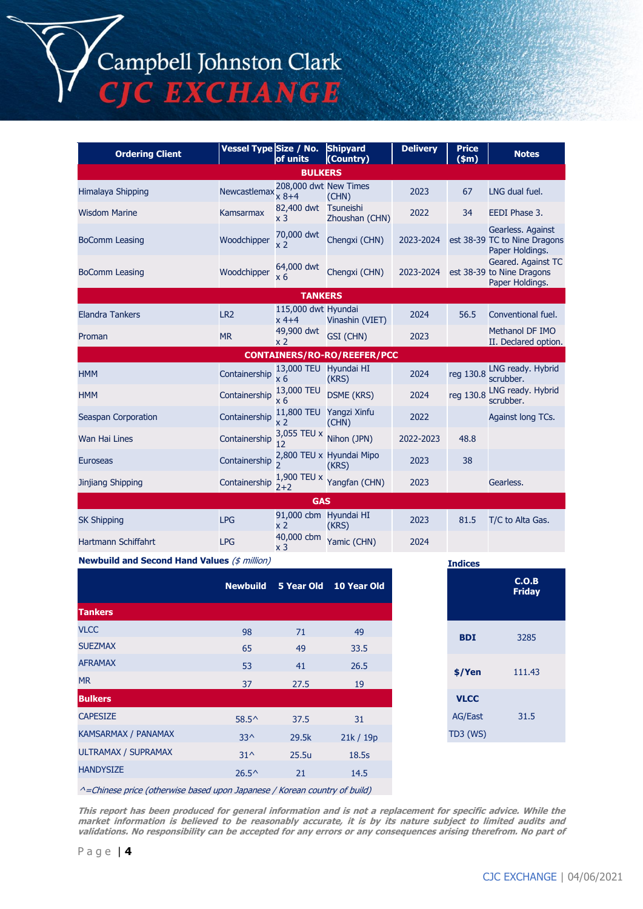## Campbell Johnston Clark<br>CJC EXCHANGE

| <b>Ordering Client</b>     | Vessel Type Size / No. | of units                               | <b>Shipyard</b><br>(Country)       | <b>Delivery</b> | <b>Price</b><br>$(\text{5m})$ | <b>Notes</b>                                                         |  |  |
|----------------------------|------------------------|----------------------------------------|------------------------------------|-----------------|-------------------------------|----------------------------------------------------------------------|--|--|
| <b>BULKERS</b>             |                        |                                        |                                    |                 |                               |                                                                      |  |  |
| <b>Himalaya Shipping</b>   | Newcastlemax           | 208,000 dwt New Times<br>$x 8 + 4$     | (CHN)                              | 2023            | 67                            | LNG dual fuel.                                                       |  |  |
| <b>Wisdom Marine</b>       | <b>Kamsarmax</b>       | 82,400 dwt Tsuneishi<br>x <sub>3</sub> | Zhoushan (CHN)                     | 2022            | 34                            | EEDI Phase 3.                                                        |  |  |
| <b>BoComm Leasing</b>      | Woodchipper            | 70,000 dwt<br>x 2                      | Chengxi (CHN)                      | 2023-2024       |                               | Gearless. Against<br>est 38-39 TC to Nine Dragons<br>Paper Holdings. |  |  |
| <b>BoComm Leasing</b>      | Woodchipper            | 64,000 dwt<br>x 6                      | Chengxi (CHN)                      | 2023-2024       |                               | Geared. Against TC<br>est 38-39 to Nine Dragons<br>Paper Holdings.   |  |  |
|                            |                        | <b>TANKERS</b>                         |                                    |                 |                               |                                                                      |  |  |
| <b>Elandra Tankers</b>     | LR <sub>2</sub>        | 115,000 dwt Hyundai<br>$x$ 4+4         | Vinashin (VIET)                    | 2024            | 56.5                          | Conventional fuel.                                                   |  |  |
| Proman                     | <b>MR</b>              | 49,900 dwt<br>x <sub>2</sub>           | GSI (CHN)                          | 2023            |                               | Methanol DF IMO<br>II. Declared option.                              |  |  |
|                            |                        |                                        | <b>CONTAINERS/RO-RO/REEFER/PCC</b> |                 |                               |                                                                      |  |  |
| <b>HMM</b>                 | Containership          | 13,000 TEU Hyundai HI<br>$\times 6$    | (KRS)                              | 2024            | reg 130.8                     | LNG ready. Hybrid<br>scrubber.                                       |  |  |
| <b>HMM</b>                 | Containership          | 13,000 TEU<br>x 6                      | <b>DSME (KRS)</b>                  | 2024            | reg 130.8                     | LNG ready. Hybrid<br>scrubber.                                       |  |  |
| Seaspan Corporation        | Containership          | x 2                                    | 11,800 TEU Yangzi Xinfu<br>(CHN)   | 2022            |                               | Against long TCs.                                                    |  |  |
| Wan Hai Lines              | Containership          | 3,055 TEU x<br>12                      | Nihon (JPN)                        | 2022-2023       | 48.8                          |                                                                      |  |  |
| <b>Euroseas</b>            | Containership          |                                        | 2,800 TEU x Hyundai Mipo<br>(KRS)  | 2023            | 38                            |                                                                      |  |  |
| Jinjiang Shipping          | Containership          | $2 + 2$                                | 1,900 TEU x Yangfan (CHN)          | 2023            |                               | Gearless.                                                            |  |  |
| <b>GAS</b>                 |                        |                                        |                                    |                 |                               |                                                                      |  |  |
| <b>SK Shipping</b>         | <b>LPG</b>             | 91,000 cbm Hyundai HI<br>x 2           | (KRS)                              | 2023            | 81.5                          | T/C to Alta Gas.                                                     |  |  |
| <b>Hartmann Schiffahrt</b> | <b>LPG</b>             | 40,000 cbm<br>x <sub>3</sub>           | Yamic (CHN)                        | 2024            |                               |                                                                      |  |  |

**Newbuild and Second Hand Values** (\$ million)

|                            | <b>Newbuild</b> |       | 5 Year Old 10 Year Old |
|----------------------------|-----------------|-------|------------------------|
| <b>Tankers</b>             |                 |       |                        |
| <b>VLCC</b>                | 98              | 71    | 49                     |
| <b>SUEZMAX</b>             | 65              | 49    | 33.5                   |
| <b>AFRAMAX</b>             | 53              | 41    | 26.5                   |
| <b>MR</b>                  | 37              | 27.5  | 19                     |
| <b>Bulkers</b>             |                 |       |                        |
| <b>CAPESIZE</b>            | $58.5^{\circ}$  | 37.5  | 31                     |
| <b>KAMSARMAX / PANAMAX</b> | $33^{\wedge}$   | 29.5k | 21k / 19p              |
| <b>ULTRAMAX / SUPRAMAX</b> | $31^{\circ}$    | 25.5u | 18.5s                  |
| <b>HANDYSIZE</b>           | $26.5^{\circ}$  | 21    | 14.5                   |
|                            |                 |       |                        |

| <b>Indices</b>  |                        |  |
|-----------------|------------------------|--|
|                 | C.O.B<br><b>Friday</b> |  |
| <b>BDI</b>      | 3285                   |  |
| \$/Yen          | 111.43                 |  |
| <b>VLCC</b>     |                        |  |
| <b>AG/East</b>  | 31.5                   |  |
| <b>TD3 (WS)</b> |                        |  |

^=Chinese price (otherwise based upon Japanese / Korean country of build)

**This report has been produced for general information and is not a replacement for specific advice. While the market information is believed to be reasonably accurate, it is by its nature subject to limited audits and validations. No responsibility can be accepted for any errors or any consequences arising therefrom. No part of**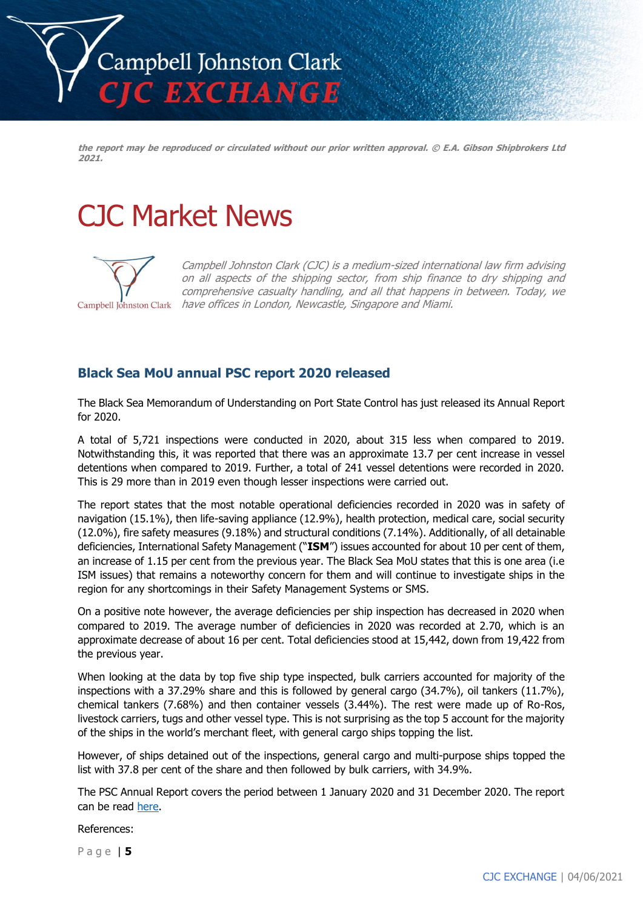

**the report may be reproduced or circulated without our prior written approval. © E.A. Gibson Shipbrokers Ltd 2021.**

### CJC Market News



Campbell Johnston Clark (CJC) is a medium-sized international law firm advising on all aspects of the shipping sector, from ship finance to dry shipping and comprehensive casualty handling, and all that happens in between. Today, we Campbell Johnston Clark have offices in London, Newcastle, Singapore and Miami.

#### **Black Sea MoU annual PSC report 2020 released**

The Black Sea Memorandum of Understanding on Port State Control has just released its Annual Report for 2020.

A total of 5,721 inspections were conducted in 2020, about 315 less when compared to 2019. Notwithstanding this, it was reported that there was an approximate 13.7 per cent increase in vessel detentions when compared to 2019. Further, a total of 241 vessel detentions were recorded in 2020. This is 29 more than in 2019 even though lesser inspections were carried out.

The report states that the most notable operational deficiencies recorded in 2020 was in safety of navigation (15.1%), then life-saving appliance (12.9%), health protection, medical care, social security (12.0%), fire safety measures (9.18%) and structural conditions (7.14%). Additionally, of all detainable deficiencies, International Safety Management ("**ISM**") issues accounted for about 10 per cent of them, an increase of 1.15 per cent from the previous year. The Black Sea MoU states that this is one area (i.e ISM issues) that remains a noteworthy concern for them and will continue to investigate ships in the region for any shortcomings in their Safety Management Systems or SMS.

On a positive note however, the average deficiencies per ship inspection has decreased in 2020 when compared to 2019. The average number of deficiencies in 2020 was recorded at 2.70, which is an approximate decrease of about 16 per cent. Total deficiencies stood at 15,442, down from 19,422 from the previous year.

When looking at the data by top five ship type inspected, bulk carriers accounted for majority of the inspections with a 37.29% share and this is followed by general cargo (34.7%), oil tankers (11.7%), chemical tankers (7.68%) and then container vessels (3.44%). The rest were made up of Ro-Ros, livestock carriers, tugs and other vessel type. This is not surprising as the top 5 account for the majority of the ships in the world's merchant fleet, with general cargo ships topping the list.

However, of ships detained out of the inspections, general cargo and multi-purpose ships topped the list with 37.8 per cent of the share and then followed by bulk carriers, with 34.9%.

The PSC Annual Report covers the period between 1 January 2020 and 31 December 2020. The report can be read [here.](http://www.bsmou.org/downloads/annual-reports/BSMOU-AR-2020.pdf)

References:

P a g e | **5**